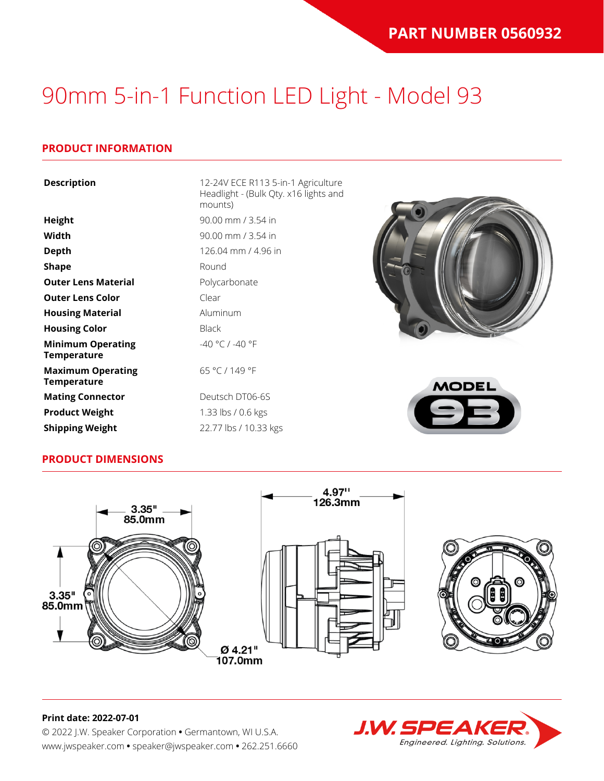#### **PRODUCT INFORMATION**

| <b>Description</b>                             | 12-24V ECE R113 5-in-1 Agriculture<br>Headlight - (Bulk Qty. x16 lights and<br>mounts) |
|------------------------------------------------|----------------------------------------------------------------------------------------|
| Height                                         | 90.00 mm / 3.54 in                                                                     |
| Width                                          | 90.00 mm / 3.54 in                                                                     |
| <b>Depth</b>                                   | 126.04 mm / 4.96 in                                                                    |
| <b>Shape</b>                                   | Round                                                                                  |
| <b>Outer Lens Material</b>                     | Polycarbonate                                                                          |
| <b>Outer Lens Color</b>                        | Clear                                                                                  |
| <b>Housing Material</b>                        | Aluminum                                                                               |
| <b>Housing Color</b>                           | <b>Black</b>                                                                           |
| <b>Minimum Operating</b><br><b>Temperature</b> | -40 °C / -40 °F                                                                        |
| <b>Maximum Operating</b><br><b>Temperature</b> | 65 °C / 149 °F<br><b>MODEL</b>                                                         |
| <b>Mating Connector</b>                        | Deutsch DT06-6S                                                                        |
| <b>Product Weight</b>                          | 1.33 lbs / 0.6 kgs                                                                     |

#### **PRODUCT DIMENSIONS**

**Shipping Weight** 22.77 lbs / 10.33 kgs





### **J.W. SPEAK** Engineered. Lighting. Solutions.

#### **Print date: 2022-07-01**

© 2022 J.W. Speaker Corporation **•** Germantown, WI U.S.A. www.jwspeaker.com **•** speaker@jwspeaker.com **•** 262.251.6660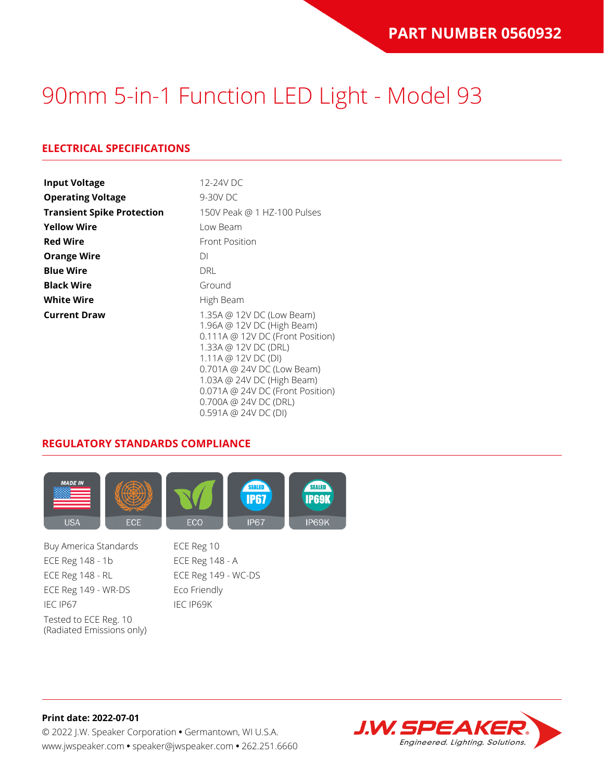### **ELECTRICAL SPECIFICATIONS**

| <b>Input Voltage</b>              | 12-24V DC                                                                                                                                                                                                                                                                                         |
|-----------------------------------|---------------------------------------------------------------------------------------------------------------------------------------------------------------------------------------------------------------------------------------------------------------------------------------------------|
| <b>Operating Voltage</b>          | 9-30V DC                                                                                                                                                                                                                                                                                          |
| <b>Transient Spike Protection</b> | 150V Peak @ 1 HZ-100 Pulses                                                                                                                                                                                                                                                                       |
| <b>Yellow Wire</b>                | Low Beam                                                                                                                                                                                                                                                                                          |
| <b>Red Wire</b>                   | <b>Front Position</b>                                                                                                                                                                                                                                                                             |
| <b>Orange Wire</b>                | DI                                                                                                                                                                                                                                                                                                |
| <b>Blue Wire</b>                  | DRL                                                                                                                                                                                                                                                                                               |
| <b>Black Wire</b>                 | Ground                                                                                                                                                                                                                                                                                            |
| <b>White Wire</b>                 | High Beam                                                                                                                                                                                                                                                                                         |
| <b>Current Draw</b>               | 1.35A @ 12V DC (Low Beam)<br>1.96A @ 12V DC (High Beam)<br>$0.111A \odot 12V$ DC (Front Position)<br>1.33A @ 12V DC (DRL)<br>1.11A @ 12V DC (DI)<br>0.701A @ 24V DC (Low Beam)<br>1.03A @ 24V DC (High Beam)<br>0.071A @ 24V DC (Front Position)<br>0.700A @ 24V DC (DRL)<br>0.591A @ 24V DC (DI) |

#### **REGULATORY STANDARDS COMPLIANCE**



Buy America Standards ECE Reg 10 ECE Reg 148 - 1b ECE Reg 148 - A ECE Reg 148 - RL ECE Reg 149 - WC-DS ECE Reg 149 - WR-DS Eco Friendly IEC IP67 IEC IP69K Tested to ECE Reg. 10 (Radiated Emissions only)

**Print date: 2022-07-01** © 2022 J.W. Speaker Corporation **•** Germantown, WI U.S.A. www.jwspeaker.com **•** speaker@jwspeaker.com **•** 262.251.6660

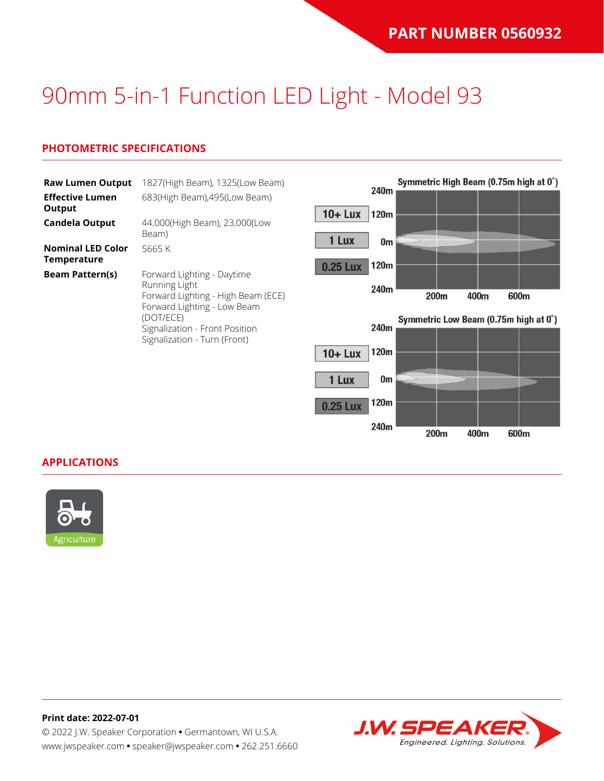### **PHOTOMETRIC SPECIFICATIONS**

| <b>Raw Lumen Output</b><br><b>Effective Lumen</b> | 1827(High Beam), 1325(Low Beam)<br>683(High Beam), 495(Low Beam)  |                 | 240m       | Symmetric High Beam (0.75m high at 0°) |      |      |
|---------------------------------------------------|-------------------------------------------------------------------|-----------------|------------|----------------------------------------|------|------|
| Output<br><b>Candela Output</b>                   | 44.000(High Beam), 23,000(Low                                     | $10 +$ Lux      | 120m       |                                        |      |      |
|                                                   | Beam)                                                             | 1 Lux           |            |                                        |      |      |
| <b>Nominal LED Color</b><br><b>Temperature</b>    | 5665 K                                                            | <b>0.25 Lux</b> | 0m<br>120m |                                        |      |      |
| <b>Beam Pattern(s)</b>                            | Forward Lighting - Daytime<br>Running Light                       |                 |            |                                        |      |      |
|                                                   | Forward Lighting - High Beam (ECE)<br>Forward Lighting - Low Beam |                 | 240m       | 200m                                   | 400m | 600m |
|                                                   | (DOT/ECE)<br>Signalization - Front Position                       |                 | 240m       | Symmetric Low Beam (0.75m high at 0°)  |      |      |
|                                                   | Signalization - Turn (Front)                                      | $10 +$ Lux      | 120m       |                                        |      |      |
|                                                   |                                                                   |                 |            |                                        |      |      |
|                                                   |                                                                   | 1 Lux           | 0m         |                                        |      |      |

120m

240m

200m

400m

600m

**0.25 Lux** 

#### **APPLICATIONS**



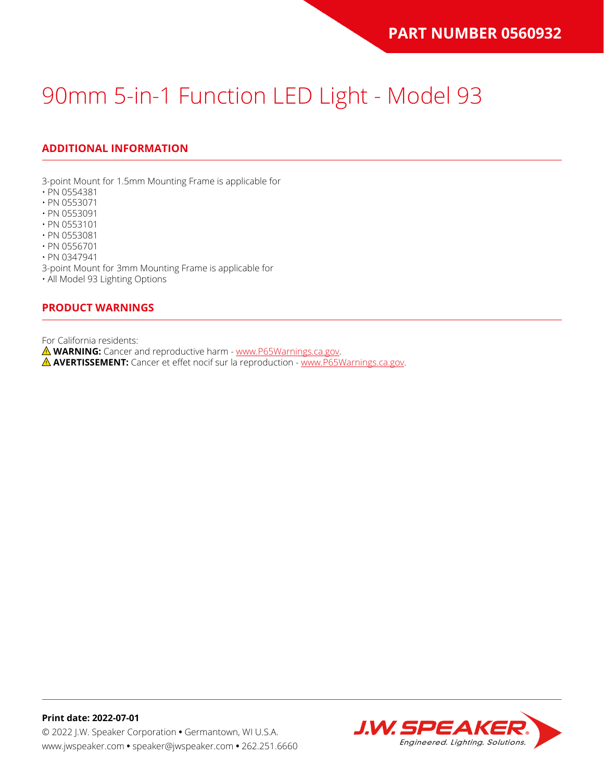### **ADDITIONAL INFORMATION**

3-point Mount for 1.5mm Mounting Frame is applicable for

- PN 0554381
- PN 0553071
- PN 0553091
- PN 0553101
- PN 0553081
- PN 0556701

• PN 0347941

3-point Mount for 3mm Mounting Frame is applicable for

• All Model 93 Lighting Options

#### **PRODUCT WARNINGS**

For California residents:

**WARNING:** Cancer and reproductive harm - [www.P65Warnings.ca.gov](https://www.p65warnings.ca.gov/).

**AVERTISSEMENT:** Cancer et effet nocif sur la reproduction - [www.P65Warnings.ca.gov.](https://www.p65warnings.ca.gov/)

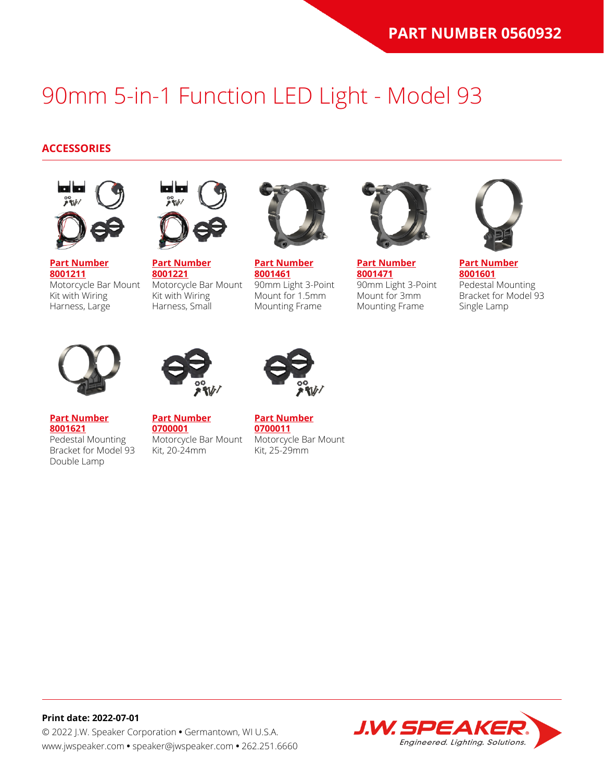#### **ACCESSORIES**



**[Part Number](https://www.jwspeaker.com/products/90mm-headlights-model-93/8001211/) [8001211](https://www.jwspeaker.com/products/90mm-headlights-model-93/8001211/)** Motorcycle Bar Mount Kit with Wiring Harness, Large



**[Part Number](https://www.jwspeaker.com/products/90mm-headlights-model-93/8001221/) [8001221](https://www.jwspeaker.com/products/90mm-headlights-model-93/8001221/)** Motorcycle Bar Mount Kit with Wiring Harness, Small



**[Part Number](https://www.jwspeaker.com/products/90mm-headlights-model-93/8001461/) [8001461](https://www.jwspeaker.com/products/90mm-headlights-model-93/8001461/)** 90mm Light 3-Point Mount for 1.5mm Mounting Frame



**[Part Number](https://www.jwspeaker.com/products/90mm-headlights-model-93/8001471/) [8001471](https://www.jwspeaker.com/products/90mm-headlights-model-93/8001471/)** 90mm Light 3-Point Mount for 3mm Mounting Frame



**[Part Number](https://www.jwspeaker.com/products/90mm-headlights-model-93/8001601/) [8001601](https://www.jwspeaker.com/products/90mm-headlights-model-93/8001601/)** Pedestal Mounting Bracket for Model 93 Single Lamp



**[Part Number](https://www.jwspeaker.com/products/90mm-headlights-model-93/8001621/) [8001621](https://www.jwspeaker.com/products/90mm-headlights-model-93/8001621/)**

Double Lamp

Pedestal Mounting



**[Part Number](https://www.jwspeaker.com/?post_type=part&p=26513&preview=true) [0700001](https://www.jwspeaker.com/?post_type=part&p=26513&preview=true)** Bracket for Model 93 Motorcycle Bar Mount Kit, 20-24mm



**[Part Number](https://www.jwspeaker.com/?post_type=part&p=26512&preview=true) [0700011](https://www.jwspeaker.com/?post_type=part&p=26512&preview=true)** Motorcycle Bar Mount Kit, 25-29mm